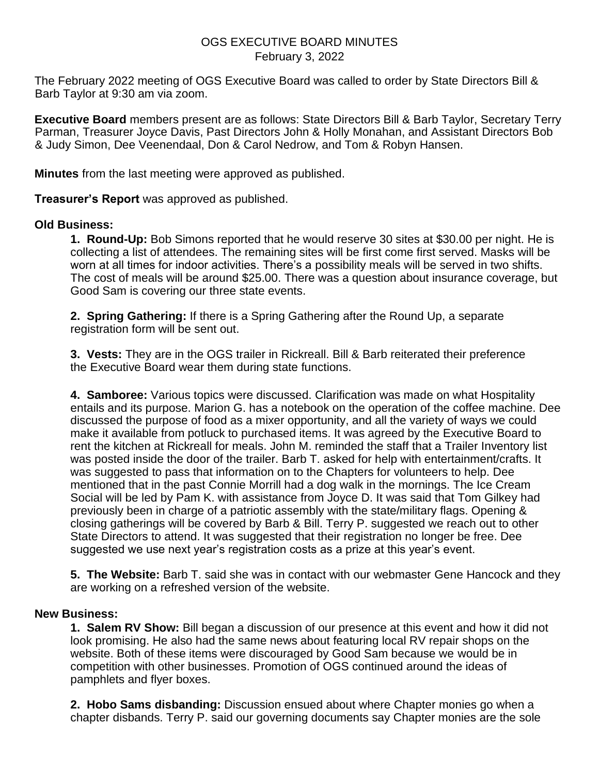## OGS EXECUTIVE BOARD MINUTES February 3, 2022

The February 2022 meeting of OGS Executive Board was called to order by State Directors Bill & Barb Taylor at 9:30 am via zoom.

**Executive Board** members present are as follows: State Directors Bill & Barb Taylor, Secretary Terry Parman, Treasurer Joyce Davis, Past Directors John & Holly Monahan, and Assistant Directors Bob & Judy Simon, Dee Veenendaal, Don & Carol Nedrow, and Tom & Robyn Hansen.

**Minutes** from the last meeting were approved as published.

**Treasurer's Report** was approved as published.

## **Old Business:**

**1. Round-Up:** Bob Simons reported that he would reserve 30 sites at \$30.00 per night. He is collecting a list of attendees. The remaining sites will be first come first served. Masks will be worn at all times for indoor activities. There's a possibility meals will be served in two shifts. The cost of meals will be around \$25.00. There was a question about insurance coverage, but Good Sam is covering our three state events.

**2. Spring Gathering:** If there is a Spring Gathering after the Round Up, a separate registration form will be sent out.

**3. Vests:** They are in the OGS trailer in Rickreall. Bill & Barb reiterated their preference the Executive Board wear them during state functions.

**4. Samboree:** Various topics were discussed. Clarification was made on what Hospitality entails and its purpose. Marion G. has a notebook on the operation of the coffee machine. Dee discussed the purpose of food as a mixer opportunity, and all the variety of ways we could make it available from potluck to purchased items. It was agreed by the Executive Board to rent the kitchen at Rickreall for meals. John M. reminded the staff that a Trailer Inventory list was posted inside the door of the trailer. Barb T. asked for help with entertainment/crafts. It was suggested to pass that information on to the Chapters for volunteers to help. Dee mentioned that in the past Connie Morrill had a dog walk in the mornings. The Ice Cream Social will be led by Pam K. with assistance from Joyce D. It was said that Tom Gilkey had previously been in charge of a patriotic assembly with the state/military flags. Opening & closing gatherings will be covered by Barb & Bill. Terry P. suggested we reach out to other State Directors to attend. It was suggested that their registration no longer be free. Dee suggested we use next year's registration costs as a prize at this year's event.

**5. The Website:** Barb T. said she was in contact with our webmaster Gene Hancock and they are working on a refreshed version of the website.

## **New Business:**

**1. Salem RV Show:** Bill began a discussion of our presence at this event and how it did not look promising. He also had the same news about featuring local RV repair shops on the website. Both of these items were discouraged by Good Sam because we would be in competition with other businesses. Promotion of OGS continued around the ideas of pamphlets and flyer boxes.

**2. Hobo Sams disbanding:** Discussion ensued about where Chapter monies go when a chapter disbands. Terry P. said our governing documents say Chapter monies are the sole